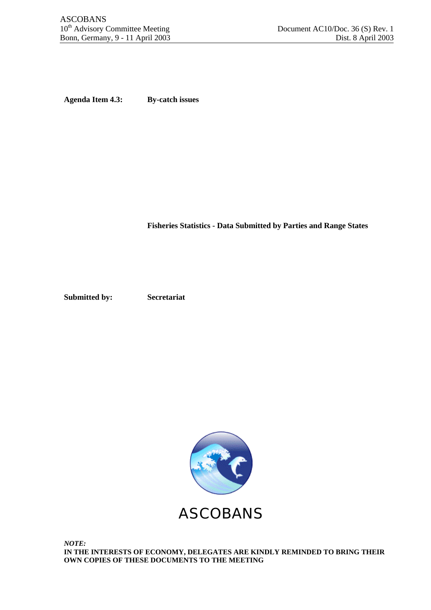**Agenda Item 4.3: By-catch issues**

**Fisheries Statistics - Data Submitted by Parties and Range States**

**Submitted by: Secretariat**



*NOTE:* **IN THE INTERESTS OF ECONOMY, DELEGATES ARE KINDLY REMINDED TO BRING THEIR OWN COPIES OF THESE DOCUMENTS TO THE MEETING**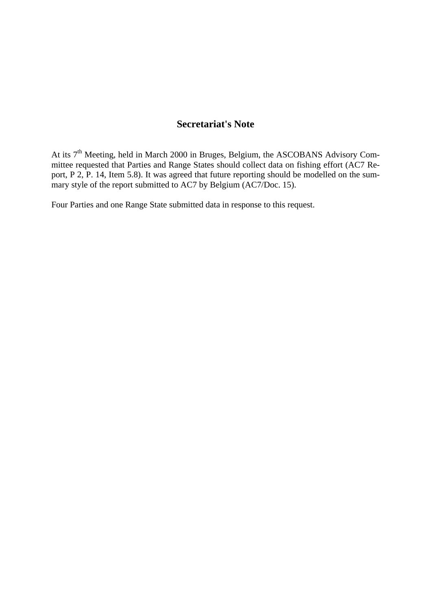## **Secretariat's Note**

At its 7<sup>th</sup> Meeting, held in March 2000 in Bruges, Belgium, the ASCOBANS Advisory Committee requested that Parties and Range States should collect data on fishing effort (AC7 Report, P 2, P. 14, Item 5.8). It was agreed that future reporting should be modelled on the summary style of the report submitted to AC7 by Belgium (AC7/Doc. 15).

Four Parties and one Range State submitted data in response to this request.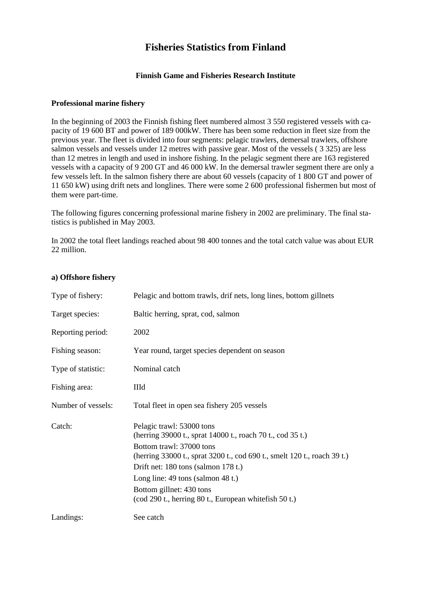### **Fisheries Statistics from Finland**

#### **Finnish Game and Fisheries Research Institute**

#### **Professional marine fishery**

In the beginning of 2003 the Finnish fishing fleet numbered almost 3 550 registered vessels with capacity of 19 600 BT and power of 189 000kW. There has been some reduction in fleet size from the previous year. The fleet is divided into four segments: pelagic trawlers, demersal trawlers, offshore salmon vessels and vessels under 12 metres with passive gear. Most of the vessels ( 3 325) are less than 12 metres in length and used in inshore fishing. In the pelagic segment there are 163 registered vessels with a capacity of 9 200 GT and 46 000 kW. In the demersal trawler segment there are only a few vessels left. In the salmon fishery there are about 60 vessels (capacity of 1 800 GT and power of 11 650 kW) using drift nets and longlines. There were some 2 600 professional fishermen but most of them were part-time.

The following figures concerning professional marine fishery in 2002 are preliminary. The final statistics is published in May 2003.

In 2002 the total fleet landings reached about 98 400 tonnes and the total catch value was about EUR 22 million.

#### **a) Offshore fishery**

| Type of fishery:   | Pelagic and bottom trawls, drif nets, long lines, bottom gillnets                                                                                                                                                                                                                                                                                                                      |
|--------------------|----------------------------------------------------------------------------------------------------------------------------------------------------------------------------------------------------------------------------------------------------------------------------------------------------------------------------------------------------------------------------------------|
| Target species:    | Baltic herring, sprat, cod, salmon                                                                                                                                                                                                                                                                                                                                                     |
| Reporting period:  | 2002                                                                                                                                                                                                                                                                                                                                                                                   |
| Fishing season:    | Year round, target species dependent on season                                                                                                                                                                                                                                                                                                                                         |
| Type of statistic: | Nominal catch                                                                                                                                                                                                                                                                                                                                                                          |
| Fishing area:      | IIId                                                                                                                                                                                                                                                                                                                                                                                   |
| Number of vessels: | Total fleet in open sea fishery 205 vessels                                                                                                                                                                                                                                                                                                                                            |
| Catch:             | Pelagic trawl: 53000 tons<br>(herring 39000 t., sprat 14000 t., roach 70 t., cod 35 t.)<br>Bottom trawl: 37000 tons<br>(herring 33000 t., sprat 3200 t., cod 690 t., smelt 120 t., roach 39 t.)<br>Drift net: 180 tons (salmon 178 t.)<br>Long line: $49 \text{ tons}$ (salmon $48 \text{ t.}$ )<br>Bottom gillnet: 430 tons<br>(cod 290 t., herring 80 t., European white fish 50 t.) |
| Landings:          | See catch                                                                                                                                                                                                                                                                                                                                                                              |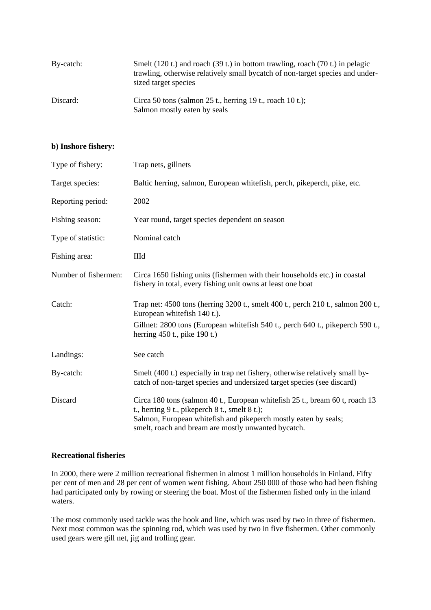| By-catch: | Smelt (120 t.) and roach (39 t.) in bottom trawling, roach (70 t.) in pelagic<br>trawling, otherwise relatively small bycatch of non-target species and under-<br>sized target species |
|-----------|----------------------------------------------------------------------------------------------------------------------------------------------------------------------------------------|
| Discard:  | Circa 50 tons (salmon 25 t., herring 19 t., roach 10 t.);<br>Salmon mostly eaten by seals                                                                                              |

#### **b) Inshore fishery:**

| Type of fishery:     | Trap nets, gillnets                                                                                                                                                                                                                                       |
|----------------------|-----------------------------------------------------------------------------------------------------------------------------------------------------------------------------------------------------------------------------------------------------------|
| Target species:      | Baltic herring, salmon, European whitefish, perch, pikeperch, pike, etc.                                                                                                                                                                                  |
| Reporting period:    | 2002                                                                                                                                                                                                                                                      |
| Fishing season:      | Year round, target species dependent on season                                                                                                                                                                                                            |
| Type of statistic:   | Nominal catch                                                                                                                                                                                                                                             |
| Fishing area:        | IIId                                                                                                                                                                                                                                                      |
| Number of fishermen: | Circa 1650 fishing units (fishermen with their households etc.) in coastal<br>fishery in total, every fishing unit owns at least one boat                                                                                                                 |
| Catch:               | Trap net: 4500 tons (herring 3200 t., smelt 400 t., perch 210 t., salmon 200 t.,<br>European white fish 140 t.).<br>Gillnet: 2800 tons (European white fish 540 t., perch 640 t., pike perch 590 t.,<br>herring $450$ t., pike 190 t.)                    |
| Landings:            | See catch                                                                                                                                                                                                                                                 |
| By-catch:            | Smelt (400 t.) especially in trap net fishery, otherwise relatively small by-<br>catch of non-target species and undersized target species (see discard)                                                                                                  |
| Discard              | Circa 180 tons (salmon 40 t., European white fish 25 t., bream 60 t, roach 13<br>t., herring 9 t., pikeperch 8 t., smelt 8 t.);<br>Salmon, European whitefish and pikeperch mostly eaten by seals;<br>smelt, roach and bream are mostly unwanted bycatch. |

#### **Recreational fisheries**

In 2000, there were 2 million recreational fishermen in almost 1 million households in Finland. Fifty per cent of men and 28 per cent of women went fishing. About 250 000 of those who had been fishing had participated only by rowing or steering the boat. Most of the fishermen fished only in the inland waters.

The most commonly used tackle was the hook and line, which was used by two in three of fishermen. Next most common was the spinning rod, which was used by two in five fishermen. Other commonly used gears were gill net, jig and trolling gear.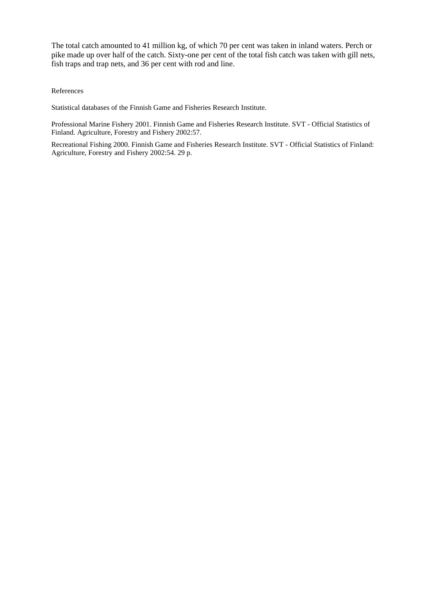The total catch amounted to 41 million kg, of which 70 per cent was taken in inland waters. Perch or pike made up over half of the catch. Sixty-one per cent of the total fish catch was taken with gill nets, fish traps and trap nets, and 36 per cent with rod and line.

References

Statistical databases of the Finnish Game and Fisheries Research Institute.

Professional Marine Fishery 2001. Finnish Game and Fisheries Research Institute. SVT - Official Statistics of Finland. Agriculture, Forestry and Fishery 2002:57.

Recreational Fishing 2000. Finnish Game and Fisheries Research Institute. SVT - Official Statistics of Finland: Agriculture, Forestry and Fishery 2002:54. 29 p.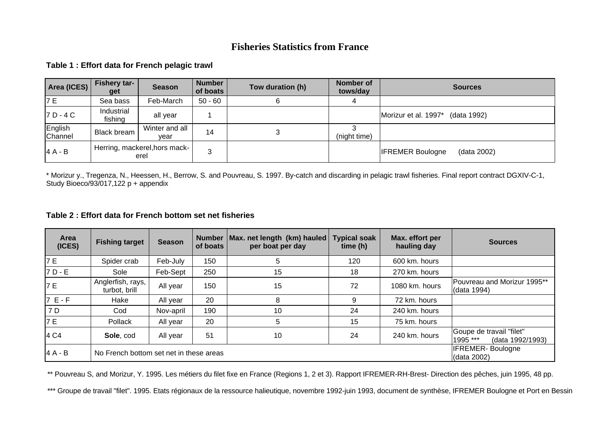### **Fisheries Statistics from France**

**Table 1 : Effort data for French pelagic trawl**

| Area (ICES)        | <b>Fishery tar-</b><br>get            | <b>Season</b>          | <b>Number</b><br>of boats | Tow duration (h) | Nomber of<br>tows/day | <b>Sources</b>                         |
|--------------------|---------------------------------------|------------------------|---------------------------|------------------|-----------------------|----------------------------------------|
| '7 E               | Sea bass                              | Feb-March              | $50 - 60$                 | ь                |                       |                                        |
| $ZD - 4C$          | Industrial<br>fishing                 | all year               |                           |                  |                       | Morizur et al. 1997*<br>(data 1992)    |
| English<br>Channel | <b>Black bream</b>                    | Winter and all<br>vear | 14                        | P                | (night time)          |                                        |
| $4A - B$           | Herring, mackerel, hors mack-<br>erel |                        | 3                         |                  |                       | <b>IFREMER Boulogne</b><br>(data 2002) |

\* Morizur y., Tregenza, N., Heessen, H., Berrow, S. and Pouvreau, S. 1997. By-catch and discarding in pelagic trawl fisheries. Final report contract DGXIV-C-1, Study Bioeco/93/017,122 p + appendix

#### **Table 2 : Effort data for French bottom set net fisheries**

| Area<br>(ICES) | <b>Fishing target</b>                   | <b>Season</b>                           | <b>Number</b><br>of boats | Max. net length (km) hauled<br>per boat per day | <b>Typical soak</b><br>time(h) | Max. effort per<br>hauling day | <b>Sources</b>                                           |
|----------------|-----------------------------------------|-----------------------------------------|---------------------------|-------------------------------------------------|--------------------------------|--------------------------------|----------------------------------------------------------|
| 7 E            | Spider crab                             | Feb-July                                | 150                       | 5                                               | 120                            | 600 km. hours                  |                                                          |
| 17 D - E       | Sole                                    | Feb-Sept                                | 250                       | 15                                              | 18                             | 270 km. hours                  |                                                          |
| 7 E            | Anglerfish, rays,<br>turbot, brill      | All year                                | 150                       | 15                                              | 72                             | 1080 km. hours                 | Pouvreau and Morizur 1995**<br>(data 1994)               |
| $7E-F$         | Hake                                    | All year                                | 20                        | 8                                               | 9                              | 72 km. hours                   |                                                          |
| 7 D            | Cod                                     | Nov-april                               | 190                       | 10                                              | 24                             | 240 km. hours                  |                                                          |
| 7 E            | <b>Pollack</b>                          | All year                                | 20                        | 5                                               | 15                             | 75 km. hours                   |                                                          |
| 4 C4           | Sole, cod                               | All year                                | 51                        | 10                                              | 24                             | 240 km. hours                  | Goupe de travail "filet"<br>1995 ***<br>(data 1992/1993) |
| $4A - B$       | No French bottom set net in these areas | <b>IFREMER-Boulogne</b><br>I(data 2002) |                           |                                                 |                                |                                |                                                          |

\*\* Pouvreau S, and Morizur, Y. 1995. Les métiers du filet fixe en France (Regions 1, 2 et 3). Rapport IFREMER-RH-Brest- Direction des pêches, juin 1995, 48 pp.

\*\*\* Groupe de travail "filet". 1995. Etats régionaux de la ressource halieutique, novembre 1992-juin 1993, document de synthèse, IFREMER Boulogne et Port en Bessin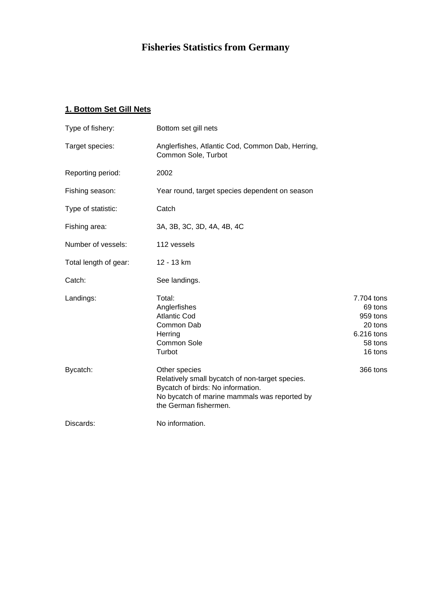# **Fisheries Statistics from Germany**

## **1. Bottom Set Gill Nets**

| Type of fishery:      | Bottom set gill nets                                                                                                                                                           |                                                                                  |
|-----------------------|--------------------------------------------------------------------------------------------------------------------------------------------------------------------------------|----------------------------------------------------------------------------------|
| Target species:       | Anglerfishes, Atlantic Cod, Common Dab, Herring,<br>Common Sole, Turbot                                                                                                        |                                                                                  |
| Reporting period:     | 2002                                                                                                                                                                           |                                                                                  |
| Fishing season:       | Year round, target species dependent on season                                                                                                                                 |                                                                                  |
| Type of statistic:    | Catch                                                                                                                                                                          |                                                                                  |
| Fishing area:         | 3A, 3B, 3C, 3D, 4A, 4B, 4C                                                                                                                                                     |                                                                                  |
| Number of vessels:    | 112 vessels                                                                                                                                                                    |                                                                                  |
| Total length of gear: | 12 - 13 km                                                                                                                                                                     |                                                                                  |
| Catch:                | See landings.                                                                                                                                                                  |                                                                                  |
| Landings:             | Total:<br>Anglerfishes<br><b>Atlantic Cod</b><br>Common Dab<br>Herring<br>Common Sole<br>Turbot                                                                                | 7.704 tons<br>69 tons<br>959 tons<br>20 tons<br>6.216 tons<br>58 tons<br>16 tons |
| Bycatch:              | Other species<br>Relatively small bycatch of non-target species.<br>Bycatch of birds: No information.<br>No bycatch of marine mammals was reported by<br>the German fishermen. | 366 tons                                                                         |
| Discards:             | No information.                                                                                                                                                                |                                                                                  |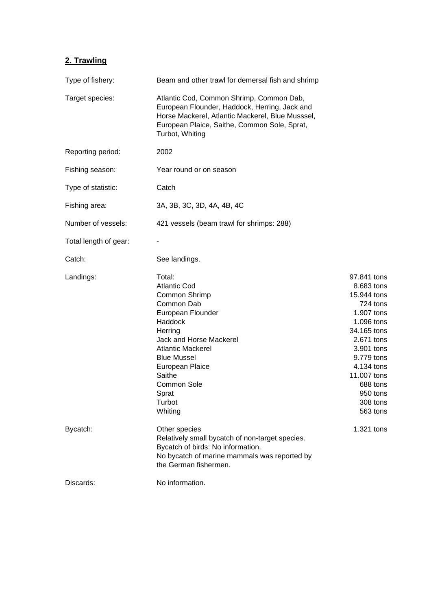## **2. Trawling**

| Type of fishery:      | Beam and other trawl for demersal fish and shrimp                                                                                                                                                                                                              |                                                                                                                                                                                                                        |  |  |  |
|-----------------------|----------------------------------------------------------------------------------------------------------------------------------------------------------------------------------------------------------------------------------------------------------------|------------------------------------------------------------------------------------------------------------------------------------------------------------------------------------------------------------------------|--|--|--|
| Target species:       | Atlantic Cod, Common Shrimp, Common Dab,<br>European Flounder, Haddock, Herring, Jack and<br>Horse Mackerel, Atlantic Mackerel, Blue Musssel,<br>European Plaice, Saithe, Common Sole, Sprat,<br>Turbot, Whiting                                               |                                                                                                                                                                                                                        |  |  |  |
| Reporting period:     | 2002                                                                                                                                                                                                                                                           |                                                                                                                                                                                                                        |  |  |  |
| Fishing season:       | Year round or on season                                                                                                                                                                                                                                        |                                                                                                                                                                                                                        |  |  |  |
| Type of statistic:    | Catch                                                                                                                                                                                                                                                          |                                                                                                                                                                                                                        |  |  |  |
| Fishing area:         | 3A, 3B, 3C, 3D, 4A, 4B, 4C                                                                                                                                                                                                                                     |                                                                                                                                                                                                                        |  |  |  |
| Number of vessels:    | 421 vessels (beam trawl for shrimps: 288)                                                                                                                                                                                                                      |                                                                                                                                                                                                                        |  |  |  |
| Total length of gear: |                                                                                                                                                                                                                                                                |                                                                                                                                                                                                                        |  |  |  |
| Catch:                | See landings.                                                                                                                                                                                                                                                  |                                                                                                                                                                                                                        |  |  |  |
| Landings:             | Total:<br><b>Atlantic Cod</b><br>Common Shrimp<br>Common Dab<br>European Flounder<br>Haddock<br>Herring<br>Jack and Horse Mackerel<br><b>Atlantic Mackerel</b><br><b>Blue Mussel</b><br>European Plaice<br>Saithe<br>Common Sole<br>Sprat<br>Turbot<br>Whiting | 97.841 tons<br>8.683 tons<br>15.944 tons<br>724 tons<br>1.907 tons<br>1.096 tons<br>34.165 tons<br>2.671 tons<br>3.901 tons<br>9.779 tons<br>4.134 tons<br>11.007 tons<br>688 tons<br>950 tons<br>308 tons<br>563 tons |  |  |  |
| Bycatch:              | Other species<br>Relatively small bycatch of non-target species.<br>Bycatch of birds: No information.<br>No bycatch of marine mammals was reported by<br>the German fishermen.                                                                                 | 1.321 tons                                                                                                                                                                                                             |  |  |  |
| Discards:             | No information.                                                                                                                                                                                                                                                |                                                                                                                                                                                                                        |  |  |  |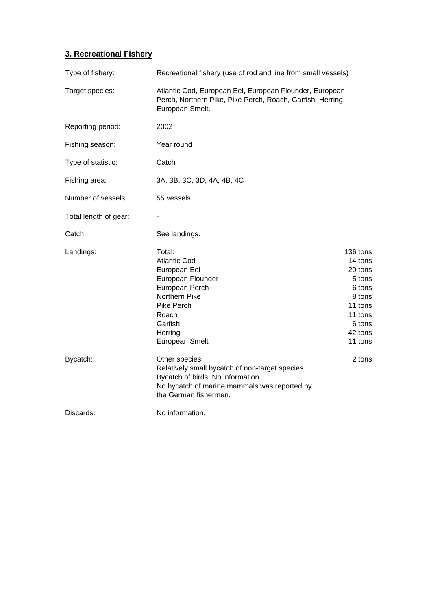### **3. Recreational Fishery**

| Type of fishery:      | Recreational fishery (use of rod and line from small vessels)                                                                                                                      |                                                                                                                    |  |  |  |  |
|-----------------------|------------------------------------------------------------------------------------------------------------------------------------------------------------------------------------|--------------------------------------------------------------------------------------------------------------------|--|--|--|--|
| Target species:       | Atlantic Cod, European Eel, European Flounder, European<br>Perch, Northern Pike, Pike Perch, Roach, Garfish, Herring,<br>European Smelt.                                           |                                                                                                                    |  |  |  |  |
| Reporting period:     | 2002                                                                                                                                                                               |                                                                                                                    |  |  |  |  |
| Fishing season:       | Year round                                                                                                                                                                         |                                                                                                                    |  |  |  |  |
| Type of statistic:    | Catch                                                                                                                                                                              |                                                                                                                    |  |  |  |  |
| Fishing area:         | 3A, 3B, 3C, 3D, 4A, 4B, 4C                                                                                                                                                         |                                                                                                                    |  |  |  |  |
| Number of vessels:    | 55 vessels                                                                                                                                                                         |                                                                                                                    |  |  |  |  |
| Total length of gear: |                                                                                                                                                                                    |                                                                                                                    |  |  |  |  |
| Catch:                | See landings.                                                                                                                                                                      |                                                                                                                    |  |  |  |  |
| Landings:             | Total:<br><b>Atlantic Cod</b><br>European Eel<br>European Flounder<br>European Perch<br>Northern Pike<br><b>Pike Perch</b><br>Roach<br>Garfish<br>Herring<br><b>European Smelt</b> | 136 tons<br>14 tons<br>20 tons<br>5 tons<br>6 tons<br>8 tons<br>11 tons<br>11 tons<br>6 tons<br>42 tons<br>11 tons |  |  |  |  |
| Bycatch:              | Other species<br>Relatively small bycatch of non-target species.<br>Bycatch of birds: No information.<br>No bycatch of marine mammals was reported by<br>the German fishermen.     | 2 tons                                                                                                             |  |  |  |  |
| Discards:             | No information.                                                                                                                                                                    |                                                                                                                    |  |  |  |  |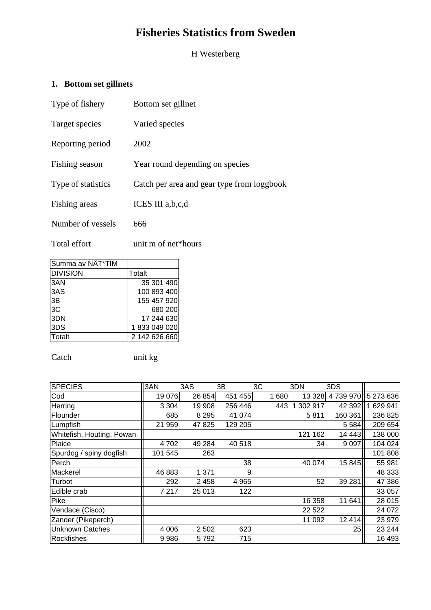# **Fisheries Statistics from Sweden**

H Westerberg

## **1. Bottom set gillnets**

| Type of fishery    | Bottom set gillnet                         |
|--------------------|--------------------------------------------|
| Target species     | Varied species                             |
| Reporting period   | 2002                                       |
| Fishing season     | Year round depending on species            |
| Type of statistics | Catch per area and gear type from loggbook |
| Fishing areas      | ICES III a, b, c, d                        |
| Number of vessels  | 666                                        |

Total effort unit m of net\*hours

| <b>DIVISION</b> |               |
|-----------------|---------------|
|                 | Totalt        |
| 3AN             | 35 301 490    |
| 3AS             | 100 893 400   |
| 3B              | 155 457 920   |
| 3C              | 680 200       |
| 3DN             | 17 244 630    |
| 3DS             | 1833049020    |
| Totalt          | 2 142 626 660 |

Catch unit kg

| <b>SPECIES</b>            | 3AN     | 3AS     | 3B      | 3C |      | 3DN          | 3DS     |           |
|---------------------------|---------|---------|---------|----|------|--------------|---------|-----------|
| Cod                       | 19 076  | 26 854  | 451 455 |    | 1680 | 13 3 28      | 4739970 | 5 273 636 |
| Herring                   | 3 3 0 4 | 19 908  | 256 446 |    | 443  | 302 917<br>1 | 42 392  | 629 941   |
| Flounder                  | 685     | 8 2 9 5 | 41 0 74 |    |      | 5811         | 160 361 | 236 825   |
| Lumpfish                  | 21 959  | 47 825  | 129 205 |    |      |              | 5 5 8 4 | 209 654   |
| Whitefish, Houting, Powan |         |         |         |    |      | 121 162      | 14 4 43 | 138 000   |
| Plaice                    | 4 702   | 49 284  | 40 518  |    |      | 34           | 9 0 9 7 | 104 024   |
| Spurdog / spiny dogfish   | 101 545 | 263     |         |    |      |              |         | 101 808   |
| Perch                     |         |         | 38      |    |      | 40 074       | 15 845  | 55 981    |
| Mackerel                  | 46 883  | 1 3 7 1 | 9       |    |      |              |         | 48 333    |
| Turbot                    | 292     | 2 4 5 8 | 4 9 6 5 |    |      | 52           | 39 281  | 47 386    |
| Edible crab               | 7 217   | 25 013  | 122     |    |      |              |         | 33 057    |
| Pike                      |         |         |         |    |      | 16 358       | 11 641  | 28 015    |
| Vendace (Cisco)           |         |         |         |    |      | 22 5 22      |         | 24 072    |
| Zander (Pikeperch)        |         |         |         |    |      | 11 092       | 12 4 14 | 23 979    |
| <b>Unknown Catches</b>    | 4 0 0 6 | 2 5 0 2 | 623     |    |      |              | 25      | 23 244    |
| <b>Rockfishes</b>         | 9986    | 5792    | 715     |    |      |              |         | 16 493    |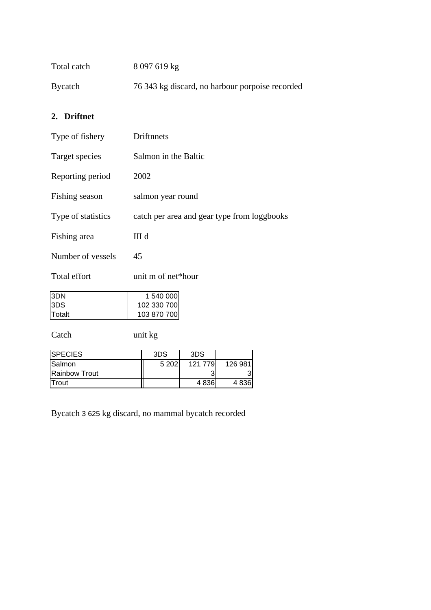| Bycatch | Total catch | 8 097 619 kg                                    |
|---------|-------------|-------------------------------------------------|
|         |             | 76 343 kg discard, no harbour porpoise recorded |

## **2. Driftnet**

| Type of fishery    | Driftnnets                                  |  |  |  |  |  |  |
|--------------------|---------------------------------------------|--|--|--|--|--|--|
| Target species     | Salmon in the Baltic                        |  |  |  |  |  |  |
| Reporting period   | 2002                                        |  |  |  |  |  |  |
| Fishing season     | salmon year round                           |  |  |  |  |  |  |
| Type of statistics | catch per area and gear type from loggbooks |  |  |  |  |  |  |
| Fishing area       | III d                                       |  |  |  |  |  |  |
| Number of vessels  | 45                                          |  |  |  |  |  |  |
| Total effort       | unit m of net*hour                          |  |  |  |  |  |  |
| 3DN                | 1 540 000                                   |  |  |  |  |  |  |
| 3DS                | 102 330 700                                 |  |  |  |  |  |  |
| Totalt             | 103 870 700                                 |  |  |  |  |  |  |
| Catch              | unit kg                                     |  |  |  |  |  |  |
| <b>SPECIES</b>     | 3DS<br>3DS                                  |  |  |  |  |  |  |
|                    |                                             |  |  |  |  |  |  |

| <b>ISLECIES</b>      | ວ∟ວ   | ວ∟ວ     |         |
|----------------------|-------|---------|---------|
| Salmon               | 5 202 | 121 779 | 126 981 |
| <b>Rainbow Trout</b> |       |         |         |
| <b>ITrout</b>        |       | 4836    | 4836    |

Bycatch 3 625 kg discard, no mammal bycatch recorded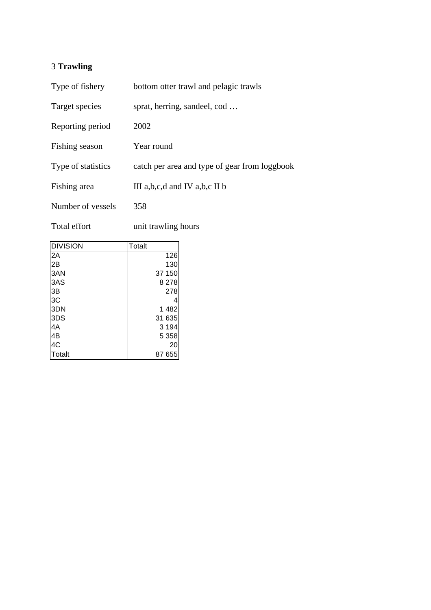## 3 **Trawling**

| Type of fishery    | bottom otter trawl and pelagic trawls         |
|--------------------|-----------------------------------------------|
| Target species     | sprat, herring, sandeel, cod                  |
| Reporting period   | 2002                                          |
| Fishing season     | Year round                                    |
| Type of statistics | catch per area and type of gear from loggbook |
| Fishing area       | III a, b, c, d and IV a, b, c II b            |
| Number of vessels  | 358                                           |

Total effort unit trawling hours

| <b>DIVISION</b> | <b>Totalt</b> |
|-----------------|---------------|
| 2A              | 126           |
| 2B              | 130           |
| 3AN             | 37 150        |
| 3AS             | 8 2 7 8       |
| 3B              | 278           |
| 3C              | 4             |
| 3DN             | 1482          |
| 3DS             | 31 635        |
| 4A              | 3 1 9 4       |
| 4B              | 5 3 5 8       |
| 4C              | 20            |
| <b>Totalt</b>   | 87 655        |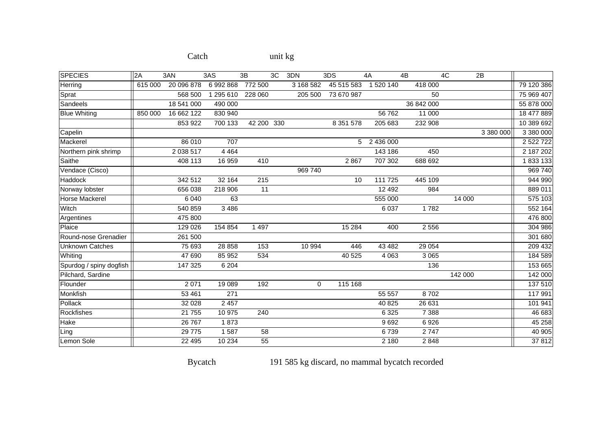| <b>SPECIES</b>          | 2A      | 3AN         | 3AS       | 3B              | 3C | 3DN         | 3DS           | 4A        | 4B         | 4C      | 2B        |            |
|-------------------------|---------|-------------|-----------|-----------------|----|-------------|---------------|-----------|------------|---------|-----------|------------|
| Herring                 | 615 000 | 20 096 878  | 6992868   | 772 500         |    | 3 168 582   | 45 515 583    | 1 520 140 | 418 000    |         |           | 79 120 386 |
| Sprat                   |         | 568 500     | 1 295 610 | 228 060         |    | 205 500     | 73 670 987    |           | 50         |         |           | 75 969 407 |
| Sandeels                |         | 18 541 000  | 490 000   |                 |    |             |               |           | 36 842 000 |         |           | 55 878 000 |
| <b>Blue Whiting</b>     | 850 000 | 16 662 122  | 830 940   |                 |    |             |               | 56 762    | 11 000     |         |           | 18 477 889 |
|                         |         | 853 922     | 700 133   | 42 200 330      |    |             | 8 3 5 1 5 7 8 | 205 683   | 232 908    |         |           | 10 389 692 |
| Capelin                 |         |             |           |                 |    |             |               |           |            |         | 3 380 000 | 3 380 000  |
| Mackerel                |         | 86 010      | 707       |                 |    |             | 5             | 2 436 000 |            |         |           | 2 522 722  |
| Northern pink shrimp    |         | 2 0 38 5 17 | 4 4 6 4   |                 |    |             |               | 143 186   | 450        |         |           | 2 187 202  |
| Saithe                  |         | 408 113     | 16 959    | 410             |    |             | 2867          | 707 302   | 688 692    |         |           | 1833133    |
| Vendace (Cisco)         |         |             |           |                 |    | 969 740     |               |           |            |         |           | 969 740    |
| <b>Haddock</b>          |         | 342 512     | 32 164    | 215             |    |             | 10            | 111 725   | 445 109    |         |           | 944 990    |
| Norway lobster          |         | 656 038     | 218 906   | 11              |    |             |               | 12 4 9 2  | 984        |         |           | 889 011    |
| <b>Horse Mackerel</b>   |         | 6 0 4 0     | 63        |                 |    |             |               | 555 000   |            | 14 000  |           | 575 103    |
| Witch                   |         | 540 859     | 3 4 8 6   |                 |    |             |               | 6 0 3 7   | 1782       |         |           | 552 164    |
| Argentines              |         | 475 800     |           |                 |    |             |               |           |            |         |           | 476 800    |
| Plaice                  |         | 129 026     | 154 854   | 1 4 9 7         |    |             | 15 2 84       | 400       | 2 5 5 6    |         |           | 304 986    |
| Round-nose Grenadier    |         | 261 500     |           |                 |    |             |               |           |            |         |           | 301 680    |
| <b>Unknown Catches</b>  |         | 75 693      | 28 8 58   | 153             |    | 10 994      | 446           | 43 4 82   | 29 0 54    |         |           | 209 432    |
| Whiting                 |         | 47 690      | 85 952    | 534             |    |             | 40 525        | 4 0 6 3   | 3 0 6 5    |         |           | 184 589    |
| Spurdog / spiny dogfish |         | 147 325     | 6 204     |                 |    |             |               |           | 136        |         |           | 153 665    |
| Pilchard, Sardine       |         |             |           |                 |    |             |               |           |            | 142 000 |           | 142 000    |
| Flounder                |         | 2 0 7 1     | 19 0 89   | 192             |    | $\mathbf 0$ | 115 168       |           |            |         |           | 137 510    |
| Monkfish                |         | 53 461      | 271       |                 |    |             |               | 55 557    | 8702       |         |           | 117 991    |
| Pollack                 |         | 32 0 28     | 2 4 5 7   |                 |    |             |               | 40 825    | 26 631     |         |           | 101 941    |
| <b>Rockfishes</b>       |         | 21 755      | 10 975    | 240             |    |             |               | 6 3 25    | 7 3 8 8    |         |           | 46 683     |
| Hake                    |         | 26 767      | 1873      |                 |    |             |               | 9692      | 6926       |         |           | 45 258     |
| Ling                    |         | 29 775      | 1587      | 58              |    |             |               | 6739      | 2747       |         |           | 40 905     |
| Lemon Sole              |         | 22 4 95     | 10 234    | $\overline{55}$ |    |             |               | 2 180     | 2848       |         |           | 37812      |

## Catch unit kg

Bycatch 191 585 kg discard, no mammal bycatch recorded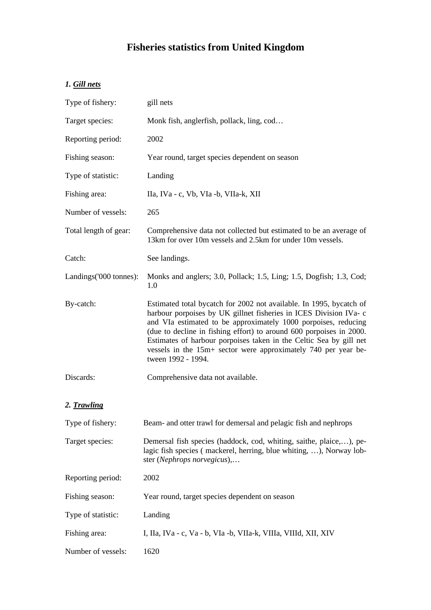# **Fisheries statistics from United Kingdom**

## *1. Gill nets*

| Type of fishery:        | gill nets                                                                                                                                                                                                                                                                                                                                                                                                                                       |
|-------------------------|-------------------------------------------------------------------------------------------------------------------------------------------------------------------------------------------------------------------------------------------------------------------------------------------------------------------------------------------------------------------------------------------------------------------------------------------------|
| Target species:         | Monk fish, anglerfish, pollack, ling, cod                                                                                                                                                                                                                                                                                                                                                                                                       |
| Reporting period:       | 2002                                                                                                                                                                                                                                                                                                                                                                                                                                            |
| Fishing season:         | Year round, target species dependent on season                                                                                                                                                                                                                                                                                                                                                                                                  |
| Type of statistic:      | Landing                                                                                                                                                                                                                                                                                                                                                                                                                                         |
| Fishing area:           | IIa, IVa - c, Vb, VIa -b, VIIa-k, XII                                                                                                                                                                                                                                                                                                                                                                                                           |
| Number of vessels:      | 265                                                                                                                                                                                                                                                                                                                                                                                                                                             |
| Total length of gear:   | Comprehensive data not collected but estimated to be an average of<br>13km for over 10m vessels and 2.5km for under 10m vessels.                                                                                                                                                                                                                                                                                                                |
| Catch:                  | See landings.                                                                                                                                                                                                                                                                                                                                                                                                                                   |
| Landings ('000 tonnes): | Monks and anglers; 3.0, Pollack; 1.5, Ling; 1.5, Dogfish; 1.3, Cod;<br>1.0                                                                                                                                                                                                                                                                                                                                                                      |
| By-catch:               | Estimated total bycatch for 2002 not available. In 1995, bycatch of<br>harbour porpoises by UK gillnet fisheries in ICES Division IVa- c<br>and VIa estimated to be approximately 1000 porpoises, reducing<br>(due to decline in fishing effort) to around 600 porpoises in 2000.<br>Estimates of harbour porpoises taken in the Celtic Sea by gill net<br>vessels in the 15m+ sector were approximately 740 per year be-<br>tween 1992 - 1994. |
| Discards:               | Comprehensive data not available.                                                                                                                                                                                                                                                                                                                                                                                                               |
| 2. Trawling             |                                                                                                                                                                                                                                                                                                                                                                                                                                                 |
| Type of fishery:        | Beam- and otter trawl for demersal and pelagic fish and nephrops                                                                                                                                                                                                                                                                                                                                                                                |
| Target species:         | Demersal fish species (haddock, cod, whiting, saithe, plaice,), pe-<br>lagic fish species (mackerel, herring, blue whiting, ), Norway lob-<br>ster (Nephrops norvegicus),                                                                                                                                                                                                                                                                       |
| Reporting period:       | 2002                                                                                                                                                                                                                                                                                                                                                                                                                                            |
| Fishing season:         | Year round, target species dependent on season                                                                                                                                                                                                                                                                                                                                                                                                  |
| Type of statistic:      | Landing                                                                                                                                                                                                                                                                                                                                                                                                                                         |
| Fishing area:           | I, IIa, IVa - c, Va - b, VIa -b, VIIa-k, VIIIa, VIIId, XII, XIV                                                                                                                                                                                                                                                                                                                                                                                 |
| Number of vessels:      | 1620                                                                                                                                                                                                                                                                                                                                                                                                                                            |